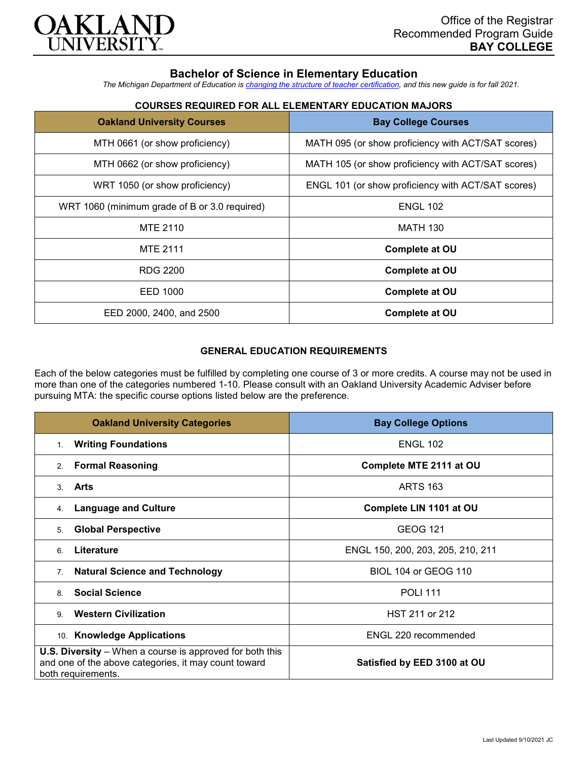

# **Bachelor of Science in Elementary Education**

*The Michigan Department of Education is [changing the structure of teacher certification,](https://docs.google.com/document/d/1W1uUK14Njx6WAB56T4jHbat65OZyg6TS04LdNWMXEcI/edit) and this new guide is for fall 2021.*

| <b>Oakland University Courses</b>             | <b>Bay College Courses</b>                         |
|-----------------------------------------------|----------------------------------------------------|
| MTH 0661 (or show proficiency)                | MATH 095 (or show proficiency with ACT/SAT scores) |
| MTH 0662 (or show proficiency)                | MATH 105 (or show proficiency with ACT/SAT scores) |
| WRT 1050 (or show proficiency)                | ENGL 101 (or show proficiency with ACT/SAT scores) |
| WRT 1060 (minimum grade of B or 3.0 required) | <b>ENGL 102</b>                                    |
| MTE 2110                                      | <b>MATH 130</b>                                    |
| <b>MTE 2111</b>                               | <b>Complete at OU</b>                              |
| <b>RDG 2200</b>                               | <b>Complete at OU</b>                              |
| EED 1000                                      | <b>Complete at OU</b>                              |
| EED 2000, 2400, and 2500                      | <b>Complete at OU</b>                              |

## **COURSES REQUIRED FOR ALL ELEMENTARY EDUCATION MAJORS**

### **GENERAL EDUCATION REQUIREMENTS**

Each of the below categories must be fulfilled by completing one course of 3 or more credits. A course may not be used in more than one of the categories numbered 1-10. Please consult with an Oakland University Academic Adviser before pursuing MTA: the specific course options listed below are the preference.

| <b>Oakland University Categories</b>                                                                                                          | <b>Bay College Options</b>        |
|-----------------------------------------------------------------------------------------------------------------------------------------------|-----------------------------------|
| <b>Writing Foundations</b><br>1.                                                                                                              | <b>ENGL 102</b>                   |
| <b>Formal Reasoning</b><br>2.                                                                                                                 | Complete MTE 2111 at OU           |
| Arts<br>3.                                                                                                                                    | <b>ARTS 163</b>                   |
| <b>Language and Culture</b><br>4.                                                                                                             | Complete LIN 1101 at OU           |
| <b>Global Perspective</b><br>5.                                                                                                               | <b>GEOG 121</b>                   |
| Literature<br>6                                                                                                                               | ENGL 150, 200, 203, 205, 210, 211 |
| <b>Natural Science and Technology</b><br>7 <sub>1</sub>                                                                                       | <b>BIOL 104 or GEOG 110</b>       |
| <b>Social Science</b><br>8                                                                                                                    | <b>POLI 111</b>                   |
| <b>Western Civilization</b><br>9                                                                                                              | HST 211 or 212                    |
| 10. Knowledge Applications                                                                                                                    | ENGL 220 recommended              |
| <b>U.S. Diversity</b> – When a course is approved for both this<br>and one of the above categories, it may count toward<br>both requirements. | Satisfied by EED 3100 at OU       |